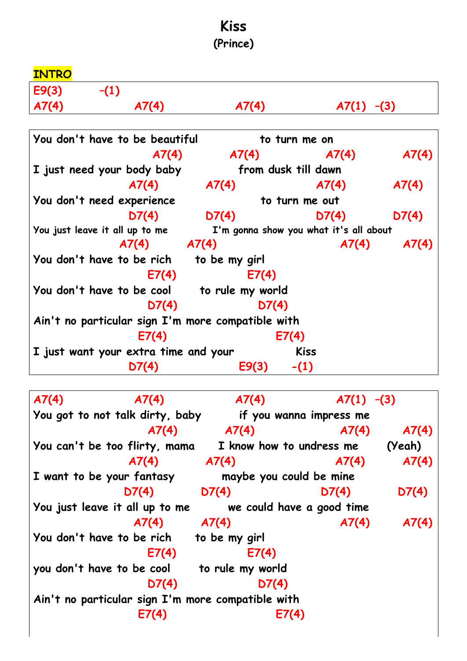**Kiss (Prince)**

| <b>INTRO</b>                                      |       |                                        |       |
|---------------------------------------------------|-------|----------------------------------------|-------|
| E9(3)<br>$-(1)$                                   |       |                                        |       |
| A7(4)<br>A7(4)                                    | A7(4) | $A7(1) - (3)$                          |       |
|                                                   |       |                                        |       |
| You don't have to be beautiful                    |       | to turn me on                          |       |
| A7(4)                                             | A7(4) | A7(4)                                  | A7(4) |
| from dusk till dawn<br>I just need your body baby |       |                                        |       |
| A7(4)                                             | A7(4) | A7(4)                                  | A7(4) |
| You don't need experience<br>to turn me out       |       |                                        |       |
| D7(4)                                             | D7(4) | D7(4)                                  | D7(4) |
| You just leave it all up to me                    |       | I'm gonna show you what it's all about |       |
| $A7(4)$ $A7(4)$                                   |       | A7(4)                                  | A7(4) |
| You don't have to be rich to be my girl           |       |                                        |       |
| E7(4)                                             | E7(4) |                                        |       |
| You don't have to be cool to rule my world        |       |                                        |       |
| D7(4)                                             | D7(4) |                                        |       |
| Ain't no particular sign I'm more compatible with |       |                                        |       |
| E7(4)                                             |       | E7(4)                                  |       |
| I just want your extra time and your              |       | <b>Kiss</b>                            |       |
| D7(4)                                             | E9(3) | $- (1)$                                |       |

**A7(4) A7(4) A7(4) A7(1) –(3) You got to not talk dirty, baby if you wanna impress me A7(4) A7(4) A7(4) A7(4) You can't be too flirty, mama I know how to undress me (Yeah) A7(4) A7(4) A7(4) A7(4) I want to be your fantasy maybe you could be mine D7(4)** D7(4) D7(4) D7(4) D7(4) **You just leave it all up to me we could have a good time A7(4) A7(4) A7(4) A7(4)** You don't have to be rich to be my girl  **E7(4) E7(4)**  you don't have to be cool to rule my world  **D7(4) D7(4) Ain't no particular sign I'm more compatible with E7(4) E7(4)**